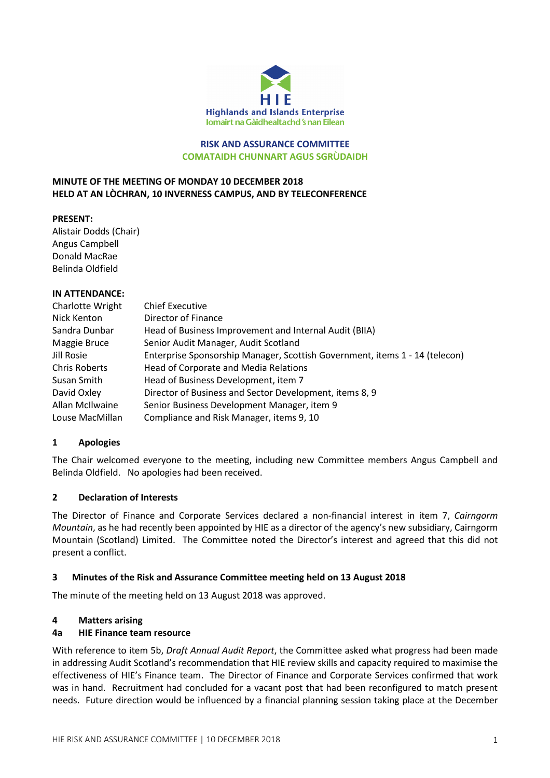

### RISK AND ASSURANCE COMMITTEE COMATAIDH CHUNNART AGUS SGRÙDAIDH

### MINUTE OF THE MEETING OF MONDAY 10 DECEMBER 2018 HELD AT AN LÒCHRAN, 10 INVERNESS CAMPUS, AND BY TELECONFERENCE

### PRESENT:

Alistair Dodds (Chair) Angus Campbell Donald MacRae Belinda Oldfield

#### IN ATTENDANCE:

| Charlotte Wright     | <b>Chief Executive</b>                                                      |
|----------------------|-----------------------------------------------------------------------------|
| Nick Kenton          | Director of Finance                                                         |
| Sandra Dunbar        | Head of Business Improvement and Internal Audit (BIIA)                      |
| Maggie Bruce         | Senior Audit Manager, Audit Scotland                                        |
| Jill Rosie           | Enterprise Sponsorship Manager, Scottish Government, items 1 - 14 (telecon) |
| <b>Chris Roberts</b> | Head of Corporate and Media Relations                                       |
| Susan Smith          | Head of Business Development, item 7                                        |
| David Oxley          | Director of Business and Sector Development, items 8, 9                     |
| Allan McIlwaine      | Senior Business Development Manager, item 9                                 |
| Louse MacMillan      | Compliance and Risk Manager, items 9, 10                                    |

### 1 Apologies

The Chair welcomed everyone to the meeting, including new Committee members Angus Campbell and Belinda Oldfield. No apologies had been received.

### 2 Declaration of Interests

The Director of Finance and Corporate Services declared a non-financial interest in item 7, Cairngorm Mountain, as he had recently been appointed by HIE as a director of the agency's new subsidiary, Cairngorm Mountain (Scotland) Limited. The Committee noted the Director's interest and agreed that this did not present a conflict.

### 3 Minutes of the Risk and Assurance Committee meeting held on 13 August 2018

The minute of the meeting held on 13 August 2018 was approved.

#### 4 Matters arising

#### 4a HIE Finance team resource

With reference to item 5b, Draft Annual Audit Report, the Committee asked what progress had been made in addressing Audit Scotland's recommendation that HIE review skills and capacity required to maximise the effectiveness of HIE's Finance team. The Director of Finance and Corporate Services confirmed that work was in hand. Recruitment had concluded for a vacant post that had been reconfigured to match present needs. Future direction would be influenced by a financial planning session taking place at the December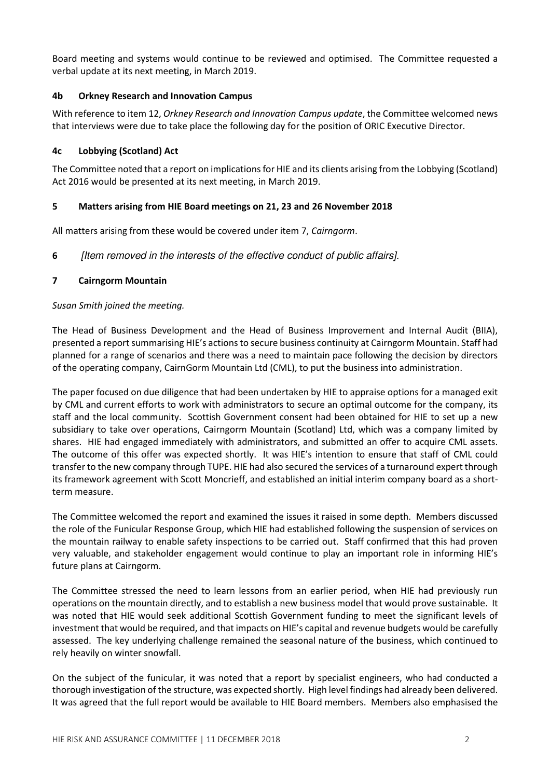Board meeting and systems would continue to be reviewed and optimised. The Committee requested a verbal update at its next meeting, in March 2019.

### 4b Orkney Research and Innovation Campus

With reference to item 12, Orkney Research and Innovation Campus update, the Committee welcomed news that interviews were due to take place the following day for the position of ORIC Executive Director.

## 4c Lobbying (Scotland) Act

The Committee noted that a report on implications for HIE and its clients arising from the Lobbying (Scotland) Act 2016 would be presented at its next meeting, in March 2019.

## 5 Matters arising from HIE Board meetings on 21, 23 and 26 November 2018

All matters arising from these would be covered under item 7, Cairngorm.

6 [Item removed in the interests of the effective conduct of public affairs].

### 7 Cairngorm Mountain

### Susan Smith joined the meeting.

The Head of Business Development and the Head of Business Improvement and Internal Audit (BIIA), presented a report summarising HIE's actions to secure business continuity at Cairngorm Mountain. Staff had planned for a range of scenarios and there was a need to maintain pace following the decision by directors of the operating company, CairnGorm Mountain Ltd (CML), to put the business into administration.

The paper focused on due diligence that had been undertaken by HIE to appraise options for a managed exit by CML and current efforts to work with administrators to secure an optimal outcome for the company, its staff and the local community. Scottish Government consent had been obtained for HIE to set up a new subsidiary to take over operations, Cairngorm Mountain (Scotland) Ltd, which was a company limited by shares. HIE had engaged immediately with administrators, and submitted an offer to acquire CML assets. The outcome of this offer was expected shortly. It was HIE's intention to ensure that staff of CML could transfer to the new company through TUPE. HIE had also secured the services of a turnaround expert through its framework agreement with Scott Moncrieff, and established an initial interim company board as a shortterm measure.

The Committee welcomed the report and examined the issues it raised in some depth. Members discussed the role of the Funicular Response Group, which HIE had established following the suspension of services on the mountain railway to enable safety inspections to be carried out. Staff confirmed that this had proven very valuable, and stakeholder engagement would continue to play an important role in informing HIE's future plans at Cairngorm.

The Committee stressed the need to learn lessons from an earlier period, when HIE had previously run operations on the mountain directly, and to establish a new business model that would prove sustainable. It was noted that HIE would seek additional Scottish Government funding to meet the significant levels of investment that would be required, and that impacts on HIE's capital and revenue budgets would be carefully assessed. The key underlying challenge remained the seasonal nature of the business, which continued to rely heavily on winter snowfall.

On the subject of the funicular, it was noted that a report by specialist engineers, who had conducted a thorough investigation of the structure, was expected shortly. High level findings had already been delivered. It was agreed that the full report would be available to HIE Board members. Members also emphasised the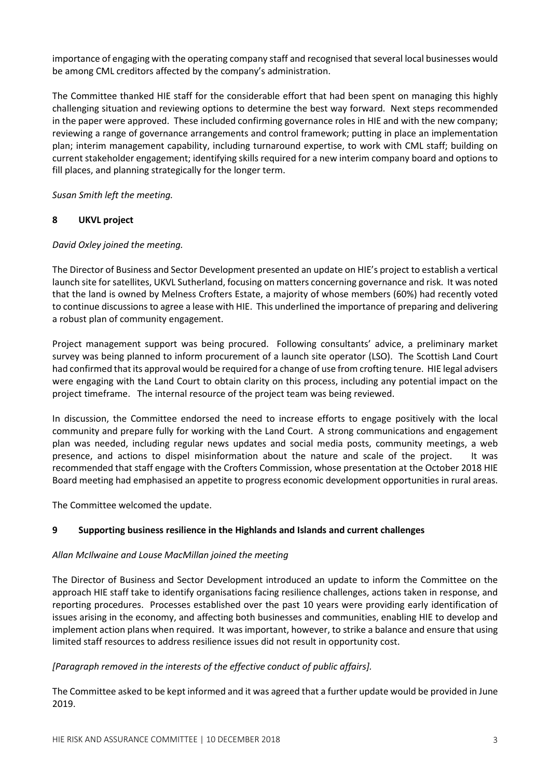importance of engaging with the operating company staff and recognised that several local businesses would be among CML creditors affected by the company's administration.

The Committee thanked HIE staff for the considerable effort that had been spent on managing this highly challenging situation and reviewing options to determine the best way forward. Next steps recommended in the paper were approved. These included confirming governance roles in HIE and with the new company; reviewing a range of governance arrangements and control framework; putting in place an implementation plan; interim management capability, including turnaround expertise, to work with CML staff; building on current stakeholder engagement; identifying skills required for a new interim company board and options to fill places, and planning strategically for the longer term.

Susan Smith left the meeting.

## 8 UKVL project

### David Oxley joined the meeting.

The Director of Business and Sector Development presented an update on HIE's project to establish a vertical launch site for satellites, UKVL Sutherland, focusing on matters concerning governance and risk. It was noted that the land is owned by Melness Crofters Estate, a majority of whose members (60%) had recently voted to continue discussions to agree a lease with HIE. This underlined the importance of preparing and delivering a robust plan of community engagement.

Project management support was being procured. Following consultants' advice, a preliminary market survey was being planned to inform procurement of a launch site operator (LSO). The Scottish Land Court had confirmed that its approval would be required for a change of use from crofting tenure. HIE legal advisers were engaging with the Land Court to obtain clarity on this process, including any potential impact on the project timeframe. The internal resource of the project team was being reviewed.

In discussion, the Committee endorsed the need to increase efforts to engage positively with the local community and prepare fully for working with the Land Court. A strong communications and engagement plan was needed, including regular news updates and social media posts, community meetings, a web presence, and actions to dispel misinformation about the nature and scale of the project. It was recommended that staff engage with the Crofters Commission, whose presentation at the October 2018 HIE Board meeting had emphasised an appetite to progress economic development opportunities in rural areas.

The Committee welcomed the update.

## 9 Supporting business resilience in the Highlands and Islands and current challenges

### Allan McIlwaine and Louse MacMillan joined the meeting

The Director of Business and Sector Development introduced an update to inform the Committee on the approach HIE staff take to identify organisations facing resilience challenges, actions taken in response, and reporting procedures. Processes established over the past 10 years were providing early identification of issues arising in the economy, and affecting both businesses and communities, enabling HIE to develop and implement action plans when required. It was important, however, to strike a balance and ensure that using limited staff resources to address resilience issues did not result in opportunity cost.

## [Paragraph removed in the interests of the effective conduct of public affairs].

The Committee asked to be kept informed and it was agreed that a further update would be provided in June 2019.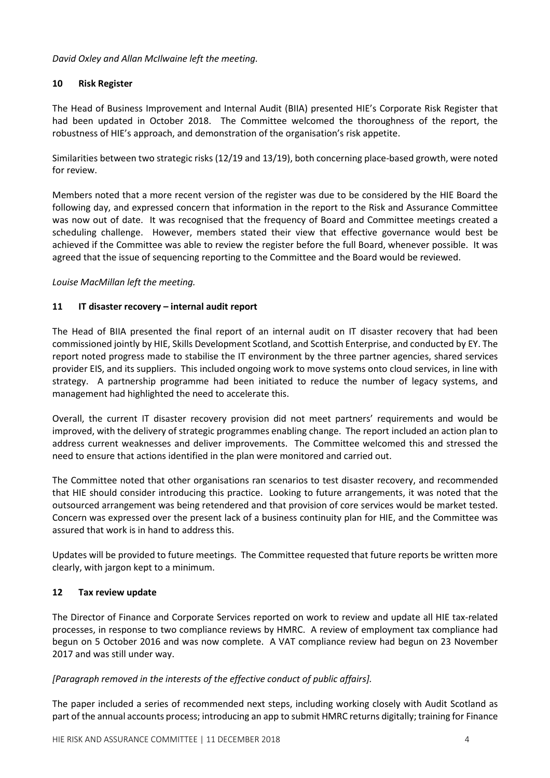David Oxley and Allan McIlwaine left the meeting.

## 10 Risk Register

The Head of Business Improvement and Internal Audit (BIIA) presented HIE's Corporate Risk Register that had been updated in October 2018. The Committee welcomed the thoroughness of the report, the robustness of HIE's approach, and demonstration of the organisation's risk appetite.

Similarities between two strategic risks (12/19 and 13/19), both concerning place-based growth, were noted for review.

Members noted that a more recent version of the register was due to be considered by the HIE Board the following day, and expressed concern that information in the report to the Risk and Assurance Committee was now out of date. It was recognised that the frequency of Board and Committee meetings created a scheduling challenge. However, members stated their view that effective governance would best be achieved if the Committee was able to review the register before the full Board, whenever possible. It was agreed that the issue of sequencing reporting to the Committee and the Board would be reviewed.

## Louise MacMillan left the meeting.

## 11 IT disaster recovery – internal audit report

The Head of BIIA presented the final report of an internal audit on IT disaster recovery that had been commissioned jointly by HIE, Skills Development Scotland, and Scottish Enterprise, and conducted by EY. The report noted progress made to stabilise the IT environment by the three partner agencies, shared services provider EIS, and its suppliers. This included ongoing work to move systems onto cloud services, in line with strategy. A partnership programme had been initiated to reduce the number of legacy systems, and management had highlighted the need to accelerate this.

Overall, the current IT disaster recovery provision did not meet partners' requirements and would be improved, with the delivery of strategic programmes enabling change. The report included an action plan to address current weaknesses and deliver improvements. The Committee welcomed this and stressed the need to ensure that actions identified in the plan were monitored and carried out.

The Committee noted that other organisations ran scenarios to test disaster recovery, and recommended that HIE should consider introducing this practice. Looking to future arrangements, it was noted that the outsourced arrangement was being retendered and that provision of core services would be market tested. Concern was expressed over the present lack of a business continuity plan for HIE, and the Committee was assured that work is in hand to address this.

Updates will be provided to future meetings. The Committee requested that future reports be written more clearly, with jargon kept to a minimum.

## 12 Tax review update

The Director of Finance and Corporate Services reported on work to review and update all HIE tax-related processes, in response to two compliance reviews by HMRC. A review of employment tax compliance had begun on 5 October 2016 and was now complete. A VAT compliance review had begun on 23 November 2017 and was still under way.

### [Paragraph removed in the interests of the effective conduct of public affairs].

The paper included a series of recommended next steps, including working closely with Audit Scotland as part of the annual accounts process; introducing an app to submit HMRC returns digitally; training for Finance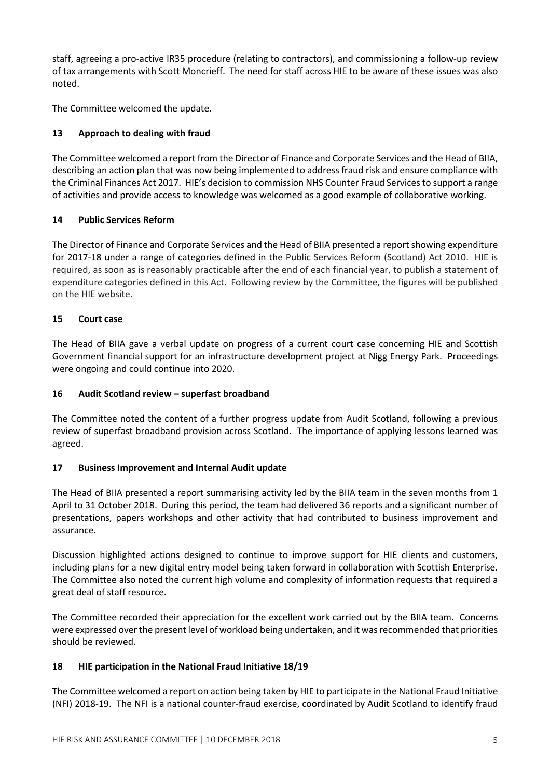staff, agreeing a pro-active IR35 procedure (relating to contractors), and commissioning a follow-up review of tax arrangements with Scott Moncrieff. The need for staff across HIE to be aware of these issues was also noted.

The Committee welcomed the update.

# 13 Approach to dealing with fraud

The Committee welcomed a report from the Director of Finance and Corporate Services and the Head of BIIA, describing an action plan that was now being implemented to address fraud risk and ensure compliance with the Criminal Finances Act 2017. HIE's decision to commission NHS Counter Fraud Services to support a range of activities and provide access to knowledge was welcomed as a good example of collaborative working.

## 14 Public Services Reform

The Director of Finance and Corporate Services and the Head of BIIA presented a report showing expenditure for 2017-18 under a range of categories defined in the Public Services Reform (Scotland) Act 2010. HIE is required, as soon as is reasonably practicable after the end of each financial year, to publish a statement of expenditure categories defined in this Act. Following review by the Committee, the figures will be published on the HIE website.

# 15 Court case

The Head of BIIA gave a verbal update on progress of a current court case concerning HIE and Scottish Government financial support for an infrastructure development project at Nigg Energy Park. Proceedings were ongoing and could continue into 2020.

## 16 Audit Scotland review – superfast broadband

The Committee noted the content of a further progress update from Audit Scotland, following a previous review of superfast broadband provision across Scotland. The importance of applying lessons learned was agreed.

## 17 Business Improvement and Internal Audit update

The Head of BIIA presented a report summarising activity led by the BIIA team in the seven months from 1 April to 31 October 2018. During this period, the team had delivered 36 reports and a significant number of presentations, papers workshops and other activity that had contributed to business improvement and assurance.

Discussion highlighted actions designed to continue to improve support for HIE clients and customers, including plans for a new digital entry model being taken forward in collaboration with Scottish Enterprise. The Committee also noted the current high volume and complexity of information requests that required a great deal of staff resource.

The Committee recorded their appreciation for the excellent work carried out by the BIIA team. Concerns were expressed over the present level of workload being undertaken, and it was recommended that priorities should be reviewed.

## 18 HIE participation in the National Fraud Initiative 18/19

The Committee welcomed a report on action being taken by HIE to participate in the National Fraud Initiative (NFI) 2018-19. The NFI is a national counter-fraud exercise, coordinated by Audit Scotland to identify fraud